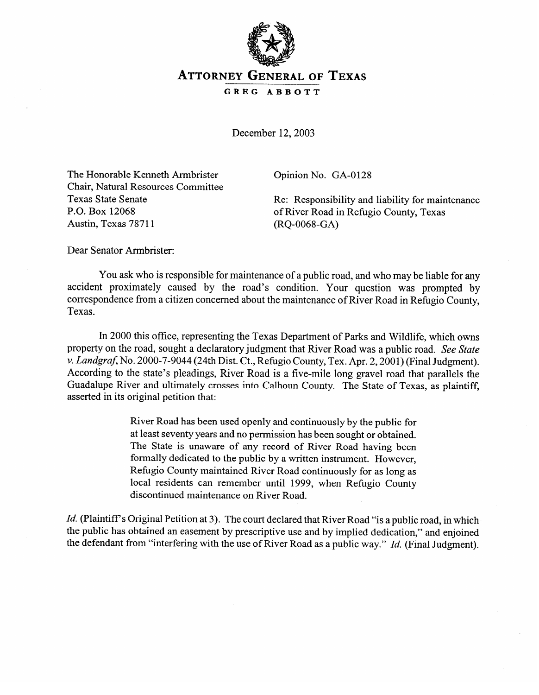

## **ATTORNEY GENERAL OF TEXAS**

**GREG ABBOTT** 

December 12,2003

The Honorable Kenneth Armbrister Chair, Natural Resources Committee Texas State Senate<br>P.O. Box 12068  $P. \cup. \cup. \cup. \cup. \cup. \cup.$ Austin, Texas 78'711

Opinion No. GA-0128

Re: Responsibility and liability for maintenance of River Road in Refugio County, Texas (RQ-0068-GA)

Dear Senator Armbrister:

You ask who is responsible for maintenance of a public road, and who may be liable for any accident proximately caused by the road's condition. Your question was prompted by accident proximately caused by the road's condition. Your question was prompted by correspondence from a citizen concerned about the maintenance of River Road in Remgio County, Texas.

In 2000 this office, representing the Texas Department of Parks and Wildlife, which owns property on the road, sought a declaratory judgment that River Road was a public road. See State v. Landgraf, No. 2000-7-9044 (24th Dist. Ct., Refugio County, Tex. Apr. 2, 2001) (Final Judgment). According to the state's pleadings, River Road is a five-mile long gravel road that parallels the Guadalupe River and ultimately crosses into Calhoun County. The State of Texas, as plaintiff, expected in its original petition that:  $\overline{a}$ 

> River Road has been used openly and continuously by the public for at least seventy years and no permission has been sought or obtained. The State is unaware of any record of River Road having been formally dedicated to the public by a written instrument. However, Refugio County maintained River Road continuously for as long as local residents can remember until 1999, when Refugio County discontinued maintenance on River Road.

*Id.* (Plaintiff's Original Petition at 3). The court declared that River Road "is a public road, in which the public has obtained an easement by prescriptive use and by implied dedication," and enjoined the defendant from "interfering with the use of River Road as a public way." Id. (Final Judgment).

the defendant from "interfering with the use of River Road as a public way." *Id.* (Final Judgment).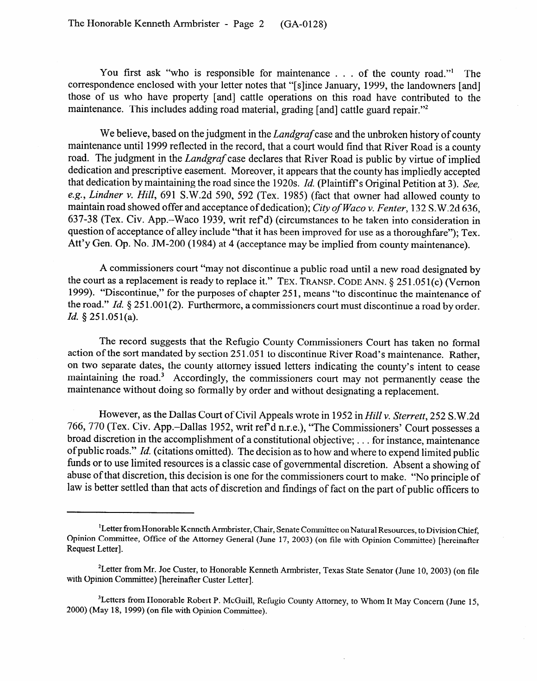You first ask "who is responsible for maintenance . . . of the county road." The correspondence enclosed with your letter notes that "[slince January, 1999, the landowners [and] those of us who have property [and] cattle operations on this road have contributed to the maintenance. This includes adding road material, grading [and] cattle guard repair."<sup>2</sup>

We believe, based on the judgment in the *Landgraf* case and the unbroken history of county maintenance until 1999 reflected in the record, that a court would find that River Road is a county road. The judgment in the *Landgraf* case declares that River Road is public by virtue of implied dedication and prescriptive easement. Moreover, it appears that the county has impliedly accepted that dedication by maintaining the road since the 1920s. *Id.* (Plaintiff's Original Petition at 3). See, *e.g., Lindner* v. *Hill,* 691 S.W.2d 590, 592 (Tex. 1985) (fact that owner had allowed county to maintain road showed offer and acceptance of dedication); *City of Waco v. Fenter,* 132 S.W.2d 636, 637-38 (Tex. Civ. App.-Waco 1939, writ ref d) (circumstances to be taken into consideration in question of acceptance of alley include "that it has been improved for use as a thoroughfare"); Tex. Att  $y$  Gen. Op. No.  $\frac{3M-200}{1904}$  at  $\frac{4}{100}$  (acceptance may be implied from county maintenance).

A commissioners court "may not discontinue a public road until a new road designated by the court as a replacement is ready to replace it." TEX. TRANSP. CODE ANN. § 251.051(c) (Vernon 1999). "Discontinue," for the purposes of chapter 251, means "to discontinue the maintenance of  $1999$ .  $\mu$  Discontinue, to the purposes of chapter 25 1, means to discontinue the maintenance of the road." *Id.* 8 25 1 .001(2). Furthermore, a commissioners court must discontinue a road by order. *Id.* 9 251.051(a).

The record suggests that the Refugio County Commissioners Court has taken no formal action of the sort mandated by section 251.051 to discontinue River Road's maintenance. Rather, on two separate dates, the county attorney issued letters indicating the county's intent to cease maintaining the road.<sup>3</sup> Accordingly, the commissioners court may not permanently cease the maintenance without doing so formally by order and without decignating a rouleasment  $\sigma$  and  $\sigma$  formally by order and without designating a replacement.

However, as the Dallas Court of Civil Appeals wrote in 1952 in *Hill v. Sterrett*, 252 S.W.2d 766, 770 (Tex. Civ. App.–Dallas 1952, writ ref'd n.r.e.), "The Commissioners' Court possesses a broad discretion in the accomplishment of a constitutional objective; ... for instance, maintenance of public roads." Id. (citations omitted). The decision as to how and where to expend limited public funds or to use limited resources is a classic case of governmental discretion. Absent a showing of abuse of that discretion, this decision is one for the commissioners court to make. "No principle of law is better settled than that acts of discretion and findings of fact on the part of public officers to

law is better settled than that acts of discretion and findings of fact on the part of public of public or  $\mathcal{L}$ 

<sup>&</sup>lt;sup>1</sup>Letter from Honorable Kenneth Armbrister, Chair, Senate Committee on Natural Resources, to Division Chief, Opinion Committee, Office of the Attorney General (June 17, 2003) (on file with Opinion Committee) [hereinafter Request Letter].

with Opinion Committee) [hereinafter Custer Letter].

<sup>&</sup>lt;sup>3</sup>Letters from Honorable Robert P. McGuill, Refugio County Attorney, to Whom It May Concern (June 15, 2000) (May 18, 1999) (on file with Opinion Committee).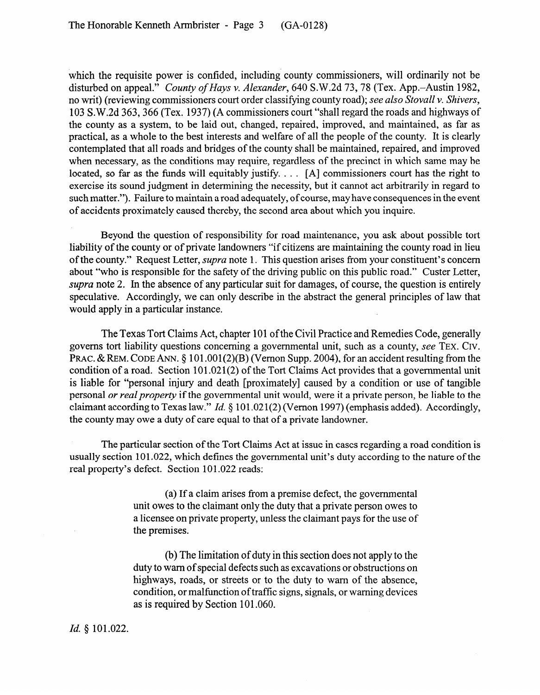which the requisite power is confided, including county commissioners, will ordinarily not be disturbed on appeal." *County of Hays v. Alexander,* 640 S.W.2d 73,78 (Tex. App.-Austin 1982, no writ) (reviewing commissioners court order classifying county road); *see also Stovall v. Shivers*, 103 S.W.2d 363,366 (Tex. 1937) (A commissioners court "shall regard the roads and highways of the county as a system, to be laid out, changed, repaired, improved, and maintained, as far as practical, as a whole to the best interests and welfare of all the people of the county. It is clearly contemplated that all roads and bridges of the county shall be maintained, repaired, and improved when necessary, as the conditions may require, regardless of the precinct in which same may be located, so far as the funds will equitably justify. . . . [A] commissioners court has the right to exercise its sound judgment in determining the necessity, but it cannot act arbitrarily in regard to such matter."). Failure to maintain a road adequately, of course, may have consequences in the event of accidents proximately caused thereby, the second area about which you inquire.

Beyond the question of responsibility for road maintenance, you ask about possible tort liability of the county or of private landowners "if citizens are maintaining the county road in lieu of the county." Request Letter, *supra* note 1. This question arises from your constituent's concern about "who is responsible for the safety of the driving public on this public road." Custer Letter, *supra* note 2. In the absence of any particular suit for damages, of course, the question is entirely speculative. Accordingly, we can only describe in the abstract the general principles of law that would apply in a particular instance.

The Texas Tort Claims Act, chapter 101 of the Civil Practice and Remedies Code, generally governs tort liability questions concerning a governmental unit, such as a county, see **TEX. CIV.**  PRAC. & REM. CODE ANN. § 101.001(2)(B) (Vernon Supp. 2004), for an accident resulting from the condition of a road. Section 101.021(2) of the Tort Claims Act provides that a governmental unit is liable for "personal injury and death [proximately] caused by a condition or use of tangible personal *or real property* if the governmental unit would, were it a private person, be liable to the claimant according to Texas law." *Id.* § 101.021(2) (Vernon 1997) (emphasis added). Accordingly, the county may owe a duty of care equal to that of a private landowner.

The particular section of the Tort Claims Act at issue in cases regarding a road condition is usually section 101.022, which defines the governmental unit's duty according to the nature of the real property's defect. Section 101.022 reads:

> (a) If a claim arises from a premise defect, the governmental unit owes to the claimant only the duty that a private person owes to a licensee on private property, unless the claimant pays for the use of the premises.

> (b) The limitation of duty in this section does not apply to the duty to warn of special defects such as excavations or obstructions on highways, roads, or streets or to the duty to warn of the absence, condition, or malfunction of traffic signs, signals, or warning devices as is required by Section 101.060.

## *Id. \$* 101.022.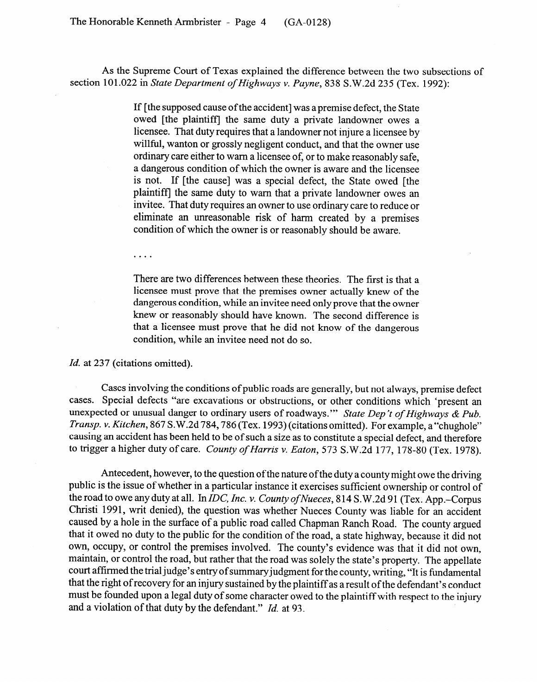As the Supreme Court of Texas explained the difference between the two subsections of section 101.022 in *State Department of Highways v. Payne, 838* S.W.2d 235 (Tex. 1992):

> If [the supposed cause ofthe accident] was a premise defect, the State owed [the plaintiff] the same duty a private landowner owes a licensee. That duty requires that a landowner not injure a licensee by willful, wanton or grossly negligent conduct, and that the owner use ordinary care either to warn a licensee of, or to make reasonably safe, a dangerous condition of which the owner is aware and the licensee<br>is not. If [the cause] was a special defect, the State owed [the is not. If [the cause] was a special defect, the State owed [the plaintiff] the same duty to warn that a private landowner owes an invitee. That duty requires an owner to use ordinary care to reduce or eliminate an unreasonable risk of harm created by a premises eliminate an unreasonable risk of harm created by a premise condition of which the owner is or reasonably should be aware.

 $\ldots$  .

There are two differences between these theories. The first is that a licensee must prove that the premises owner actually knew of the dangerous condition, while an invitee need only prove that the owner knew or reasonably should have known. The second difference is that a licensee must prove that he did not know of the dangerous that a license must prove that he did not know of the dangerous condition, while an invitee need not do so.

*Id.* at 237 (citations omitted).

Cases involving the conditions of public roads are generally, but not always, premise defect cases. Special defects "are excavations or obstructions, or other conditions which 'present an unexpected or unusual danger to ordinary users of roadways." State Dep't of Highways & Pub. Transp. v. Kitchen, 867 S.W.2d 784, 786 (Tex. 1993) (citations omitted). For example, a "chughole" causing an accident has been held to be of such a size as to constitute a special defect, and therefore to trigger a higher duty of care. County of Harris y, Eaton, 573, S, W, 2d, 177, 178-80 (Tey, 1978) to trigger a higher duty of care. *County of Harris v. Eaton, 573* S.W.2d 177, 178-80 (Tex. 1978).

Antecedent, however, to the question of the nature of the duty a county might owe the driving public is the issue of whether in a particular instance it exercises sufficient ownership or control of the road to owe any duty at all. In IDC, Inc. v. County of Nueces, 814 S.W.2d 91 (Tex. App.-Corpus Christi 1991, writ denied), the question was whether Nueces County was liable for an accident caused by a hole in the surface of a public road called Chapman Ranch Road. The county argued that it owed no duty to the public for the condition of the road, a state highway, because it did not own, occupy, or control the premises involved. The county's evidence was that it did not own, maintain, or control the road, but rather that the road was solely the state's property. The appellate court affirmed the trial judge's entry of summary judgment for the county, writing, "It is fundamental that the right of recovery for an injury sustained by the plaintiff as a result of the defendant's conduct must be founded upon a legal duty of some character owed to the plaintiff with respect to the injury and a violation of that duty by the defendant."  $Id$  at 93.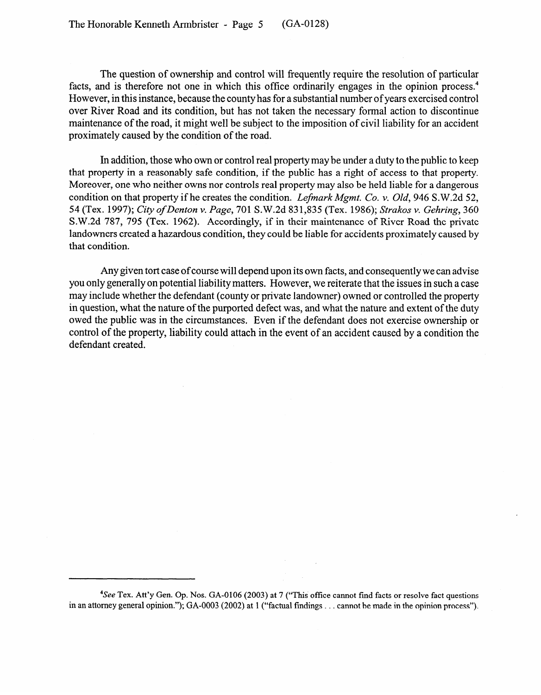The question of ownership and control will frequently require the resolution of particular facts, and is therefore not one in which this office ordinarily engages in the opinion process.<sup>4</sup> However, in this instance, because the county has for a substantial number of years exercised control over River Road and its condition, but has not taken the necessary formal action to discontinue maintenance of the road, it might well be subject to the imposition of civil liability for an accident proximately caused by the condition of the road.

In addition, those who own or control real property may be under a duty to the public to keep that property in a reasonably safe condition, if the public has a right of access to that property. Moreover, one who neither owns nor controls real property may also be held liable for a dangerous condition on that property if he creates the condition. *Lefmark Mgmt. Co. v. Old*, 946 S.W.2d 52, *54* (Tex. 1997); *City ofDenton v. Page,* 701 S.W.2d 831,835 (Tex. 1986); *Strakos v. Gehring, 360*  S.W.2d 787, 795 (Tex. 1962). Accordingly, if in their maintenance of River Road the private landowners created a hazardous condition, they could be liable for accidents proximately caused by that condition.

Any given tort case of course will depend upon its own facts, and consequently we can advise you only generally on potential liability matters. However, we reiterate that the issues in such a case may include whether the defendant (county or private landowner) owned or controlled the property in question, what the nature of the purported defect was, and what the nature and extent of the duty owed the public was in the circumstances. Even if the defendant does not exercise ownership or control of the property, liability could attach in the event of an accident caused by a condition the defendant created.

<sup>4</sup>See Tex. Att'y Gen. Op. Nos. GA-0106 (2003) at 7 ("This office cannot find facts or resolve fact questions in an attorney general opinion."); GA-0003 (2002) at 1 ("factual findings . . . cannot be made in the opinion process").